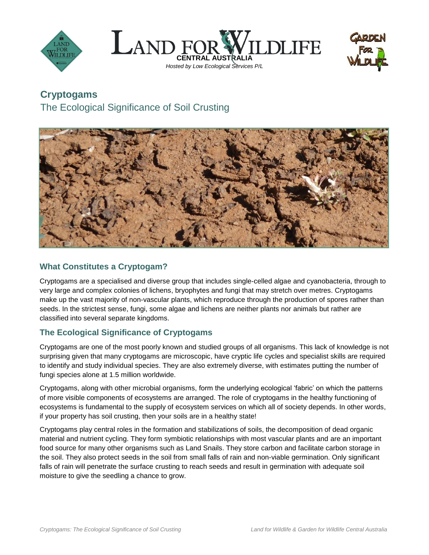





# **Cryptogams**

The Ecological Significance of Soil Crusting



## **What Constitutes a Cryptogam?**

Cryptogams are a specialised and diverse group that includes single-celled algae and cyanobacteria, through to very large and complex colonies of lichens, bryophytes and fungi that may stretch over metres. Cryptogams make up the vast majority of non-vascular plants, which reproduce through the production of spores rather than seeds. In the strictest sense, fungi, some algae and lichens are neither plants nor animals but rather are classified into several separate kingdoms.

# **The Ecological Significance of Cryptogams**

Cryptogams are one of the most poorly known and studied groups of all organisms. This lack of knowledge is not surprising given that many cryptogams are microscopic, have cryptic life cycles and specialist skills are required to identify and study individual species. They are also extremely diverse, with estimates putting the number of fungi species alone at 1.5 million worldwide.

Cryptogams, along with other microbial organisms, form the underlying ecological 'fabric' on which the patterns of more visible components of ecosystems are arranged. The role of cryptogams in the healthy functioning of ecosystems is fundamental to the supply of ecosystem services on which all of society depends. In other words, if your property has soil crusting, then your soils are in a healthy state!

Cryptogams play central roles in the formation and stabilizations of soils, the decomposition of dead organic material and nutrient cycling. They form symbiotic relationships with most vascular plants and are an important food source for many other organisms such as Land Snails. They store carbon and facilitate carbon storage in the soil. They also protect seeds in the soil from small falls of rain and non-viable germination. Only significant falls of rain will penetrate the surface crusting to reach seeds and result in germination with adequate soil moisture to give the seedling a chance to grow.